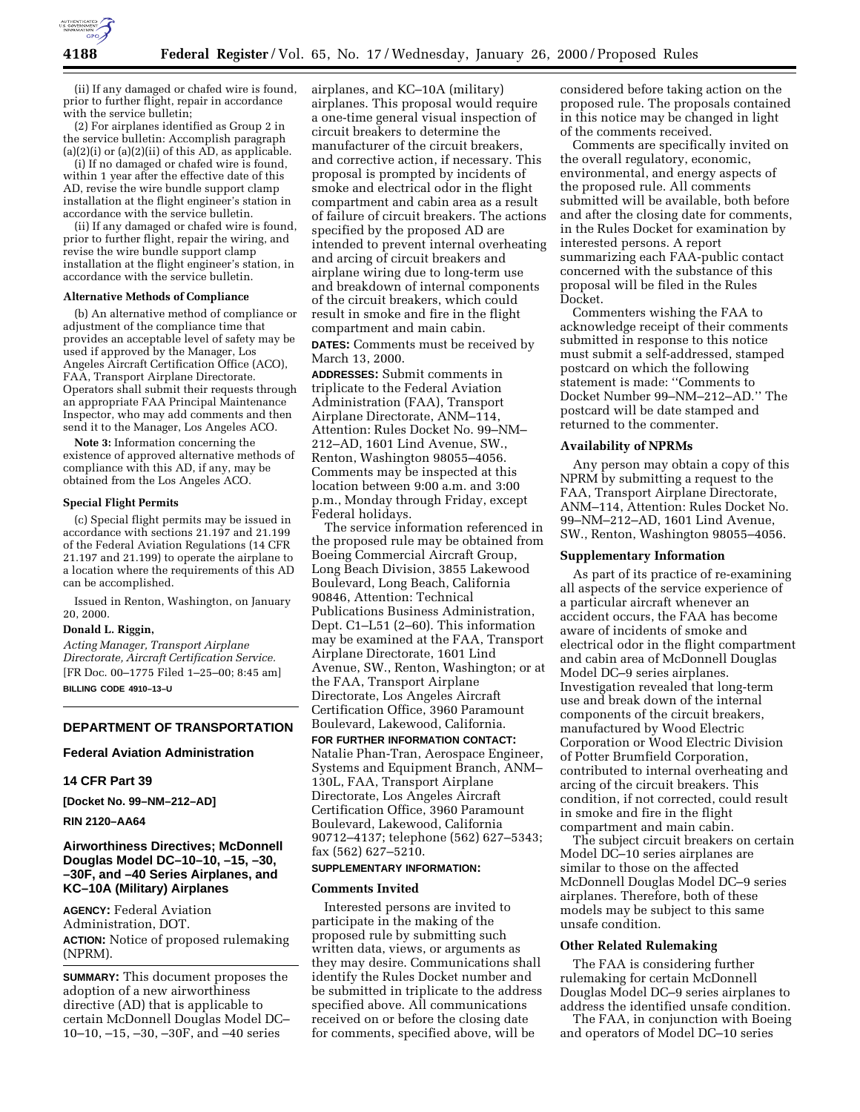

(ii) If any damaged or chafed wire is found, prior to further flight, repair in accordance with the service bulletin;

(2) For airplanes identified as Group 2 in the service bulletin: Accomplish paragraph  $(a)(2)(i)$  or  $(a)(2)(ii)$  of this  $AD$ , as applicable.

(i) If no damaged or chafed wire is found, within 1 year after the effective date of this AD, revise the wire bundle support clamp installation at the flight engineer's station in accordance with the service bulletin.

(ii) If any damaged or chafed wire is found, prior to further flight, repair the wiring, and revise the wire bundle support clamp installation at the flight engineer's station, in accordance with the service bulletin.

#### **Alternative Methods of Compliance**

(b) An alternative method of compliance or adjustment of the compliance time that provides an acceptable level of safety may be used if approved by the Manager, Los Angeles Aircraft Certification Office (ACO), FAA, Transport Airplane Directorate. Operators shall submit their requests through an appropriate FAA Principal Maintenance Inspector, who may add comments and then send it to the Manager, Los Angeles ACO.

**Note 3:** Information concerning the existence of approved alternative methods of compliance with this AD, if any, may be obtained from the Los Angeles ACO.

#### **Special Flight Permits**

(c) Special flight permits may be issued in accordance with sections 21.197 and 21.199 of the Federal Aviation Regulations (14 CFR 21.197 and 21.199) to operate the airplane to a location where the requirements of this AD can be accomplished.

Issued in Renton, Washington, on January 20, 2000.

#### **Donald L. Riggin,**

*Acting Manager, Transport Airplane Directorate, Aircraft Certification Service.* [FR Doc. 00–1775 Filed 1–25–00; 8:45 am] **BILLING CODE 4910–13–U**

# **DEPARTMENT OF TRANSPORTATION**

#### **Federal Aviation Administration**

### **14 CFR Part 39**

**[Docket No. 99–NM–212–AD]**

#### **RIN 2120–AA64**

# **Airworthiness Directives; McDonnell Douglas Model DC–10–10, –15, –30, –30F, and –40 Series Airplanes, and KC–10A (Military) Airplanes**

**AGENCY:** Federal Aviation Administration, DOT. **ACTION:** Notice of proposed rulemaking (NPRM).

**SUMMARY:** This document proposes the adoption of a new airworthiness directive (AD) that is applicable to certain McDonnell Douglas Model DC– 10–10, –15, –30, –30F, and –40 series

airplanes, and KC–10A (military) airplanes. This proposal would require a one-time general visual inspection of circuit breakers to determine the manufacturer of the circuit breakers, and corrective action, if necessary. This proposal is prompted by incidents of smoke and electrical odor in the flight compartment and cabin area as a result of failure of circuit breakers. The actions specified by the proposed AD are intended to prevent internal overheating and arcing of circuit breakers and airplane wiring due to long-term use and breakdown of internal components of the circuit breakers, which could result in smoke and fire in the flight compartment and main cabin. **DATES:** Comments must be received by

March 13, 2000.

**ADDRESSES:** Submit comments in triplicate to the Federal Aviation Administration (FAA), Transport Airplane Directorate, ANM–114, Attention: Rules Docket No. 99–NM– 212–AD, 1601 Lind Avenue, SW., Renton, Washington 98055–4056. Comments may be inspected at this location between 9:00 a.m. and 3:00 p.m., Monday through Friday, except Federal holidays.

The service information referenced in the proposed rule may be obtained from Boeing Commercial Aircraft Group, Long Beach Division, 3855 Lakewood Boulevard, Long Beach, California 90846, Attention: Technical Publications Business Administration, Dept. C1–L51 (2–60). This information may be examined at the FAA, Transport Airplane Directorate, 1601 Lind Avenue, SW., Renton, Washington; or at the FAA, Transport Airplane Directorate, Los Angeles Aircraft Certification Office, 3960 Paramount Boulevard, Lakewood, California.

**FOR FURTHER INFORMATION CONTACT:** Natalie Phan-Tran, Aerospace Engineer, Systems and Equipment Branch, ANM– 130L, FAA, Transport Airplane Directorate, Los Angeles Aircraft Certification Office, 3960 Paramount Boulevard, Lakewood, California 90712–4137; telephone (562) 627–5343; fax (562) 627–5210.

# **SUPPLEMENTARY INFORMATION:**

#### **Comments Invited**

Interested persons are invited to participate in the making of the proposed rule by submitting such written data, views, or arguments as they may desire. Communications shall identify the Rules Docket number and be submitted in triplicate to the address specified above. All communications received on or before the closing date for comments, specified above, will be

considered before taking action on the proposed rule. The proposals contained in this notice may be changed in light of the comments received.

Comments are specifically invited on the overall regulatory, economic, environmental, and energy aspects of the proposed rule. All comments submitted will be available, both before and after the closing date for comments, in the Rules Docket for examination by interested persons. A report summarizing each FAA-public contact concerned with the substance of this proposal will be filed in the Rules Docket.

Commenters wishing the FAA to acknowledge receipt of their comments submitted in response to this notice must submit a self-addressed, stamped postcard on which the following statement is made: ''Comments to Docket Number 99–NM–212–AD.'' The postcard will be date stamped and returned to the commenter.

### **Availability of NPRMs**

Any person may obtain a copy of this NPRM by submitting a request to the FAA, Transport Airplane Directorate, ANM–114, Attention: Rules Docket No. 99–NM–212–AD, 1601 Lind Avenue, SW., Renton, Washington 98055–4056.

# **Supplementary Information**

As part of its practice of re-examining all aspects of the service experience of a particular aircraft whenever an accident occurs, the FAA has become aware of incidents of smoke and electrical odor in the flight compartment and cabin area of McDonnell Douglas Model DC–9 series airplanes. Investigation revealed that long-term use and break down of the internal components of the circuit breakers, manufactured by Wood Electric Corporation or Wood Electric Division of Potter Brumfield Corporation, contributed to internal overheating and arcing of the circuit breakers. This condition, if not corrected, could result in smoke and fire in the flight compartment and main cabin.

The subject circuit breakers on certain Model DC–10 series airplanes are similar to those on the affected McDonnell Douglas Model DC–9 series airplanes. Therefore, both of these models may be subject to this same unsafe condition.

### **Other Related Rulemaking**

The FAA is considering further rulemaking for certain McDonnell Douglas Model DC–9 series airplanes to address the identified unsafe condition.

The FAA, in conjunction with Boeing and operators of Model DC–10 series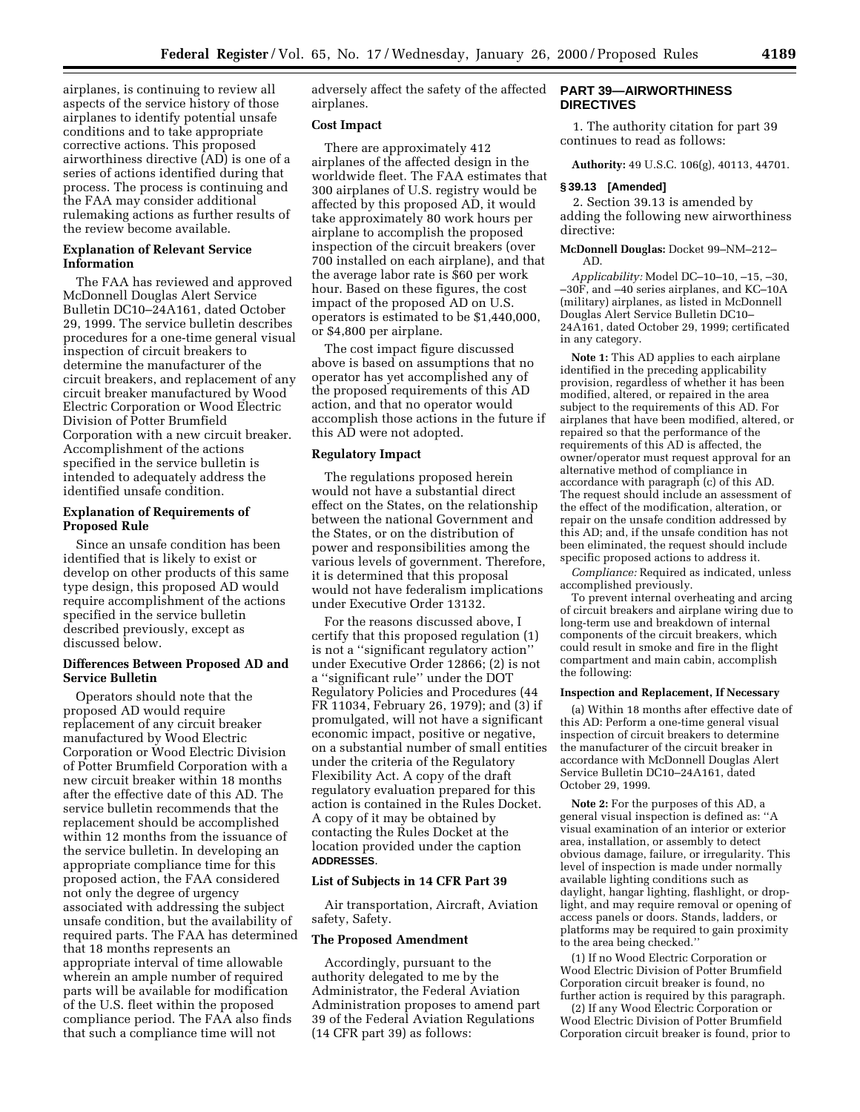airplanes, is continuing to review all aspects of the service history of those airplanes to identify potential unsafe conditions and to take appropriate corrective actions. This proposed airworthiness directive (AD) is one of a series of actions identified during that process. The process is continuing and the FAA may consider additional rulemaking actions as further results of the review become available.

# **Explanation of Relevant Service Information**

The FAA has reviewed and approved McDonnell Douglas Alert Service Bulletin DC10–24A161, dated October 29, 1999. The service bulletin describes procedures for a one-time general visual inspection of circuit breakers to determine the manufacturer of the circuit breakers, and replacement of any circuit breaker manufactured by Wood Electric Corporation or Wood Electric Division of Potter Brumfield Corporation with a new circuit breaker. Accomplishment of the actions specified in the service bulletin is intended to adequately address the identified unsafe condition.

# **Explanation of Requirements of Proposed Rule**

Since an unsafe condition has been identified that is likely to exist or develop on other products of this same type design, this proposed AD would require accomplishment of the actions specified in the service bulletin described previously, except as discussed below.

# **Differences Between Proposed AD and Service Bulletin**

Operators should note that the proposed AD would require replacement of any circuit breaker manufactured by Wood Electric Corporation or Wood Electric Division of Potter Brumfield Corporation with a new circuit breaker within 18 months after the effective date of this AD. The service bulletin recommends that the replacement should be accomplished within 12 months from the issuance of the service bulletin. In developing an appropriate compliance time for this proposed action, the FAA considered not only the degree of urgency associated with addressing the subject unsafe condition, but the availability of required parts. The FAA has determined that 18 months represents an appropriate interval of time allowable wherein an ample number of required parts will be available for modification of the U.S. fleet within the proposed compliance period. The FAA also finds that such a compliance time will not

adversely affect the safety of the affected airplanes.

# **Cost Impact**

There are approximately 412 airplanes of the affected design in the worldwide fleet. The FAA estimates that 300 airplanes of U.S. registry would be affected by this proposed AD, it would take approximately 80 work hours per airplane to accomplish the proposed inspection of the circuit breakers (over 700 installed on each airplane), and that the average labor rate is \$60 per work hour. Based on these figures, the cost impact of the proposed AD on U.S. operators is estimated to be \$1,440,000, or \$4,800 per airplane.

The cost impact figure discussed above is based on assumptions that no operator has yet accomplished any of the proposed requirements of this AD action, and that no operator would accomplish those actions in the future if this AD were not adopted.

# **Regulatory Impact**

The regulations proposed herein would not have a substantial direct effect on the States, on the relationship between the national Government and the States, or on the distribution of power and responsibilities among the various levels of government. Therefore, it is determined that this proposal would not have federalism implications under Executive Order 13132.

For the reasons discussed above, I certify that this proposed regulation (1) is not a ''significant regulatory action'' under Executive Order 12866; (2) is not a ''significant rule'' under the DOT Regulatory Policies and Procedures (44 FR 11034, February 26, 1979); and (3) if promulgated, will not have a significant economic impact, positive or negative, on a substantial number of small entities under the criteria of the Regulatory Flexibility Act. A copy of the draft regulatory evaluation prepared for this action is contained in the Rules Docket. A copy of it may be obtained by contacting the Rules Docket at the location provided under the caption **ADDRESSES**.

### **List of Subjects in 14 CFR Part 39**

Air transportation, Aircraft, Aviation safety, Safety.

# **The Proposed Amendment**

Accordingly, pursuant to the authority delegated to me by the Administrator, the Federal Aviation Administration proposes to amend part 39 of the Federal Aviation Regulations (14 CFR part 39) as follows:

# **PART 39—AIRWORTHINESS DIRECTIVES**

1. The authority citation for part 39 continues to read as follows:

**Authority:** 49 U.S.C. 106(g), 40113, 44701.

#### **§ 39.13 [Amended]**

2. Section 39.13 is amended by adding the following new airworthiness directive:

### **McDonnell Douglas:** Docket 99–NM–212– AD.

*Applicability:* Model DC–10–10, –15, –30, –30F, and –40 series airplanes, and KC–10A (military) airplanes, as listed in McDonnell Douglas Alert Service Bulletin DC10– 24A161, dated October 29, 1999; certificated in any category.

**Note 1:** This AD applies to each airplane identified in the preceding applicability provision, regardless of whether it has been modified, altered, or repaired in the area subject to the requirements of this AD. For airplanes that have been modified, altered, or repaired so that the performance of the requirements of this AD is affected, the owner/operator must request approval for an alternative method of compliance in accordance with paragraph (c) of this AD. The request should include an assessment of the effect of the modification, alteration, or repair on the unsafe condition addressed by this AD; and, if the unsafe condition has not been eliminated, the request should include specific proposed actions to address it.

*Compliance:* Required as indicated, unless accomplished previously.

To prevent internal overheating and arcing of circuit breakers and airplane wiring due to long-term use and breakdown of internal components of the circuit breakers, which could result in smoke and fire in the flight compartment and main cabin, accomplish the following:

# **Inspection and Replacement, If Necessary**

(a) Within 18 months after effective date of this AD: Perform a one-time general visual inspection of circuit breakers to determine the manufacturer of the circuit breaker in accordance with McDonnell Douglas Alert Service Bulletin DC10–24A161, dated October 29, 1999.

**Note 2:** For the purposes of this AD, a general visual inspection is defined as: ''A visual examination of an interior or exterior area, installation, or assembly to detect obvious damage, failure, or irregularity. This level of inspection is made under normally available lighting conditions such as daylight, hangar lighting, flashlight, or droplight, and may require removal or opening of access panels or doors. Stands, ladders, or platforms may be required to gain proximity to the area being checked.''

(1) If no Wood Electric Corporation or Wood Electric Division of Potter Brumfield Corporation circuit breaker is found, no further action is required by this paragraph.

(2) If any Wood Electric Corporation or Wood Electric Division of Potter Brumfield Corporation circuit breaker is found, prior to